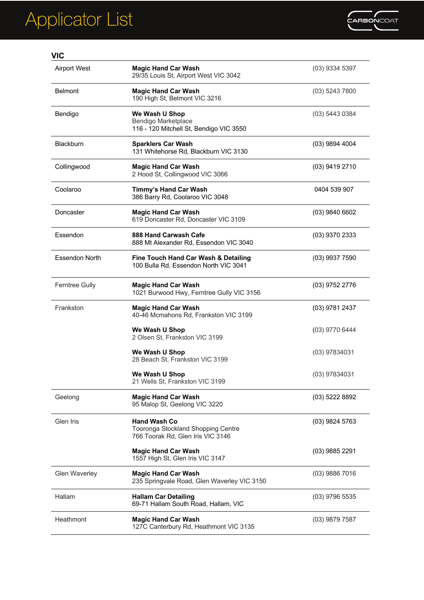

| <b>VIC</b>            |                                                                                                |                  |
|-----------------------|------------------------------------------------------------------------------------------------|------------------|
| <b>Airport West</b>   | <b>Magic Hand Car Wash</b><br>29/35 Louis St, Airport West VIC 3042                            | (03) 9334 5397   |
| <b>Belmont</b>        | <b>Magic Hand Car Wash</b><br>190 High St, Belmont VIC 3216                                    | $(03)$ 5243 7800 |
| Bendigo               | We Wash U Shop<br>Bendigo Marketplace<br>116 - 120 Mitchell St, Bendigo VIC 3550               | $(03)$ 5443 0384 |
| <b>Blackburn</b>      | <b>Sparklers Car Wash</b><br>131 Whitehorse Rd, Blackburn VIC 3130                             | $(03)$ 9894 4004 |
| Collingwood           | <b>Magic Hand Car Wash</b><br>2 Hood St, Collingwood VIC 3066                                  | (03) 9419 2710   |
| Coolaroo              | Timmy's Hand Car Wash<br>386 Barry Rd, Coolaroo VIC 3048                                       | 0404 539 907     |
| Doncaster             | <b>Magic Hand Car Wash</b><br>619 Doncaster Rd, Doncaster VIC 3109                             | (03) 9840 6602   |
| Essendon              | 888 Hand Carwash Cafe<br>888 Mt Alexander Rd, Essendon VIC 3040                                | (03) 9370 2333   |
| <b>Essendon North</b> | Fine Touch Hand Car Wash & Detailing<br>100 Bulla Rd, Essendon North VIC 3041                  | $(03)$ 9937 7590 |
| <b>Ferntree Gully</b> | <b>Magic Hand Car Wash</b><br>1021 Burwood Hwy, Ferntree Gully VIC 3156                        | (03) 9752 2776   |
| Frankston             | <b>Magic Hand Car Wash</b><br>40-46 Mcmahons Rd, Frankston VIC 3199                            | (03) 9781 2437   |
|                       | We Wash U Shop<br>2 Olsen St, Frankston VIC 3199                                               | (03) 9770 6444   |
|                       | We Wash U Shop<br>28 Beach St, Frankston VIC 3199                                              | (03) 97834031    |
|                       | We Wash U Shop<br>21 Wells St, Frankston VIC 3199                                              | (03) 97834031    |
| Geelong               | <b>Magic Hand Car Wash</b><br>95 Malop St, Geelong VIC 3220                                    | (03) 5222 8892   |
| Glen Iris             | <b>Hand Wash Co</b><br>Tooronga Stockland Shopping Centre<br>766 Toorak Rd, Glen Iris VIC 3146 | (03) 9824 5763   |
|                       | <b>Magic Hand Car Wash</b><br>1557 High St, Glen Iris VIC 3147                                 | $(03)$ 9885 2291 |
| <b>Glen Waverley</b>  | <b>Magic Hand Car Wash</b><br>235 Springvale Road, Glen Waverley VIC 3150                      | (03) 9886 7016   |
| Hallam                | <b>Hallam Car Detailing</b><br>69-71 Hallam South Road, Hallam, VIC                            | $(03)$ 9796 5535 |
| Heathmont             | <b>Magic Hand Car Wash</b><br>127C Canterbury Rd, Heathmont VIC 3135                           | $(03)$ 9879 7587 |
|                       |                                                                                                |                  |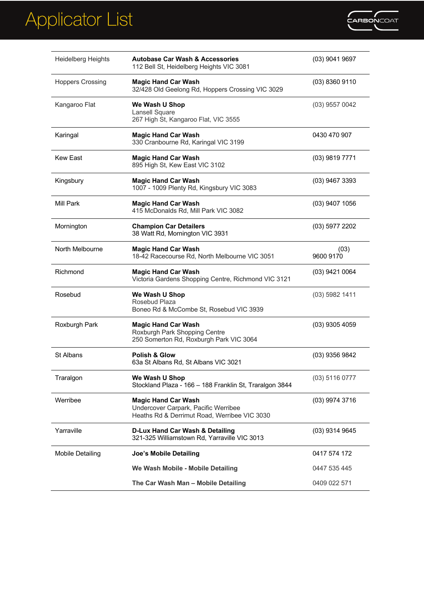

| <b>Heidelberg Heights</b> | <b>Autobase Car Wash &amp; Accessories</b><br>112 Bell St, Heidelberg Heights VIC 3081                             | $(03)$ 9041 9697  |
|---------------------------|--------------------------------------------------------------------------------------------------------------------|-------------------|
| <b>Hoppers Crossing</b>   | <b>Magic Hand Car Wash</b><br>32/428 Old Geelong Rd, Hoppers Crossing VIC 3029                                     | $(03)$ 8360 9110  |
| Kangaroo Flat             | We Wash U Shop<br>Lansell Square<br>267 High St, Kangaroo Flat, VIC 3555                                           | $(03)$ 9557 0042  |
| Karingal                  | <b>Magic Hand Car Wash</b><br>330 Cranbourne Rd, Karingal VIC 3199                                                 | 0430 470 907      |
| <b>Kew East</b>           | <b>Magic Hand Car Wash</b><br>895 High St, Kew East VIC 3102                                                       | (03) 9819 7771    |
| Kingsbury                 | <b>Magic Hand Car Wash</b><br>1007 - 1009 Plenty Rd, Kingsbury VIC 3083                                            | (03) 9467 3393    |
| Mill Park                 | <b>Magic Hand Car Wash</b><br>415 McDonalds Rd, Mill Park VIC 3082                                                 | $(03)$ 9407 1056  |
| Mornington                | <b>Champion Car Detailers</b><br>38 Watt Rd, Mornington VIC 3931                                                   | (03) 5977 2202    |
| North Melbourne           | <b>Magic Hand Car Wash</b><br>18-42 Racecourse Rd, North Melbourne VIC 3051                                        | (03)<br>9600 9170 |
| Richmond                  | <b>Magic Hand Car Wash</b><br>Victoria Gardens Shopping Centre, Richmond VIC 3121                                  | (03) 9421 0064    |
| Rosebud                   | We Wash U Shop<br>Rosebud Plaza<br>Boneo Rd & McCombe St, Rosebud VIC 3939                                         | $(03)$ 5982 1411  |
| Roxburgh Park             | <b>Magic Hand Car Wash</b><br>Roxburgh Park Shopping Centre<br>250 Somerton Rd, Roxburgh Park VIC 3064             | (03) 9305 4059    |
| St Albans                 | <b>Polish &amp; Glow</b><br>63a St Albans Rd, St Albans VIC 3021                                                   | (03) 9356 9842    |
| Traralgon                 | We Wash U Shop<br>Stockland Plaza - 166 - 188 Franklin St, Traralgon 3844                                          | $(03)$ 5116 0777  |
| Werribee                  | <b>Magic Hand Car Wash</b><br>Undercover Carpark, Pacific Werribee<br>Heaths Rd & Derrimut Road, Werribee VIC 3030 | (03) 9974 3716    |
| Yarraville                | D-Lux Hand Car Wash & Detailing<br>321-325 Williamstown Rd, Yarraville VIC 3013                                    | (03) 9314 9645    |
| <b>Mobile Detailing</b>   | <b>Joe's Mobile Detailing</b>                                                                                      | 0417 574 172      |
|                           | We Wash Mobile - Mobile Detailing                                                                                  | 0447 535 445      |
|                           | The Car Wash Man - Mobile Detailing                                                                                | 0409 022 571      |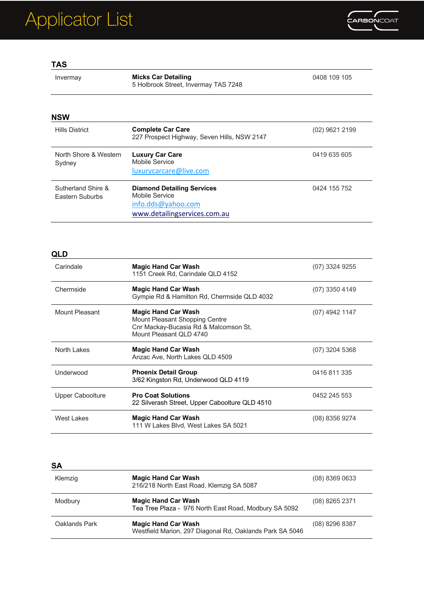

| Invermay                              | <b>Micks Car Detailing</b><br>5 Holbrook Street, Invermay TAS 7248                                        | 0408 109 105     |
|---------------------------------------|-----------------------------------------------------------------------------------------------------------|------------------|
| <b>NSW</b>                            |                                                                                                           |                  |
| <b>Hills District</b>                 | <b>Complete Car Care</b><br>227 Prospect Highway, Seven Hills, NSW 2147                                   | $(02)$ 9621 2199 |
| North Shore & Western<br>Sydney       | <b>Luxury Car Care</b><br>Mobile Service<br>luxurycarcare@live.com                                        | 0419 635 605     |
| Sutherland Shire &<br>Eastern Suburbs | <b>Diamond Detailing Services</b><br>Mobile Service<br>info.dds@yahoo.com<br>www.detailingservices.com.au | 0424 155 752     |

#### **QLD**

| ⋇∟レ              |                                                                                                                                  |                |
|------------------|----------------------------------------------------------------------------------------------------------------------------------|----------------|
| Carindale        | <b>Magic Hand Car Wash</b><br>1151 Creek Rd, Carindale QLD 4152                                                                  | (07) 3324 9255 |
| Chermside        | <b>Magic Hand Car Wash</b><br>Gympie Rd & Hamilton Rd, Chermside QLD 4032                                                        | (07) 3350 4149 |
| Mount Pleasant   | <b>Magic Hand Car Wash</b><br>Mount Pleasant Shopping Centre<br>Cnr Mackay-Bucasia Rd & Malcomson St,<br>Mount Pleasant QLD 4740 | (07) 4942 1147 |
| North Lakes      | <b>Magic Hand Car Wash</b><br>Anzac Ave, North Lakes QLD 4509                                                                    | (07) 3204 5368 |
| Underwood        | <b>Phoenix Detail Group</b><br>3/62 Kingston Rd, Underwood QLD 4119                                                              | 0416 811 335   |
| Upper Caboolture | <b>Pro Coat Solutions</b><br>22 Silverash Street, Upper Caboolture QLD 4510                                                      | 0452 245 553   |
| West Lakes       | <b>Magic Hand Car Wash</b><br>111 W Lakes Blvd, West Lakes SA 5021                                                               | (08) 8356 9274 |

#### **SA**

| Klemzig       | <b>Magic Hand Car Wash</b><br>216/218 North East Road, Klemzig SA 5087                 | $(08)$ 8369 0633 |
|---------------|----------------------------------------------------------------------------------------|------------------|
| Modbury       | <b>Magic Hand Car Wash</b><br>Tea Tree Plaza - 976 North East Road, Modbury SA 5092    | $(08)$ 8265 2371 |
| Oaklands Park | <b>Magic Hand Car Wash</b><br>Westfield Marion, 297 Diagonal Rd, Oaklands Park SA 5046 | $(08)$ 8296 8387 |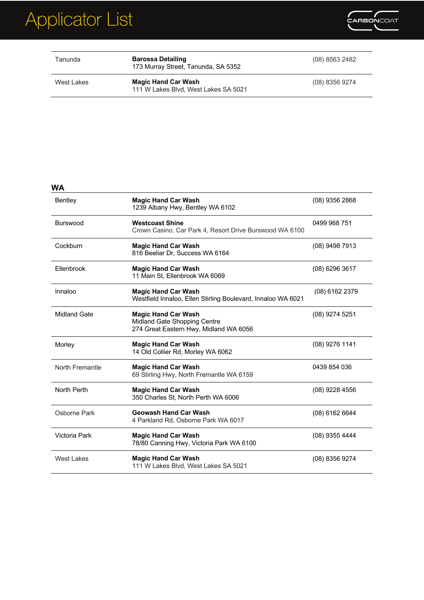

| Tanunda    | <b>Barossa Detailing</b><br>173 Murray Street, Tanunda, SA 5352    | (08) 8563 2482 |
|------------|--------------------------------------------------------------------|----------------|
| West Lakes | <b>Magic Hand Car Wash</b><br>111 W Lakes Blvd. West Lakes SA 5021 | (08) 8356 9274 |

### **WA**

| Bentley           | <b>Magic Hand Car Wash</b><br>1239 Albany Hwy, Bentley WA 6102                                       | (08) 9356 2868   |
|-------------------|------------------------------------------------------------------------------------------------------|------------------|
| <b>Burswood</b>   | <b>Westcoast Shine</b><br>Crown Casino, Car Park 4, Resort Drive Burswood WA 6100                    | 0499 968 751     |
| Cockburn          | <b>Magic Hand Car Wash</b><br>816 Beeliar Dr, Success WA 6164                                        | (08) 9498 7913   |
| Ellenbrook        | <b>Magic Hand Car Wash</b><br>11 Main St, Ellenbrook WA 6069                                         | (08) 6296 3617   |
| Innaloo           | <b>Magic Hand Car Wash</b><br>Westfield Innaloo, Ellen Stirling Boulevard, Innaloo WA 6021           | (08) 6162 2379   |
| Midland Gate      | <b>Magic Hand Car Wash</b><br>Midland Gate Shopping Centre<br>274 Great Eastern Hwy, Midland WA 6056 | $(08)$ 9274 5251 |
| Morley            | <b>Magic Hand Car Wash</b><br>14 Old Collier Rd, Morley WA 6062                                      | $(08)$ 9276 1141 |
| North Fremantle   | <b>Magic Hand Car Wash</b><br>69 Stirling Hwy, North Fremantle WA 6159                               | 0439 854 036     |
| North Perth       | <b>Magic Hand Car Wash</b><br>350 Charles St, North Perth WA 6006                                    | $(08)$ 9228 4556 |
| Osborne Park      | <b>Geowash Hand Car Wash</b><br>4 Parkland Rd, Osborne Park WA 6017                                  | $(08)$ 6162 6644 |
| Victoria Park     | <b>Magic Hand Car Wash</b><br>78/80 Canning Hwy, Victoria Park WA 6100                               | (08) 9355 4444   |
| <b>West Lakes</b> | <b>Magic Hand Car Wash</b><br>111 W Lakes Blvd, West Lakes SA 5021                                   | (08) 8356 9274   |